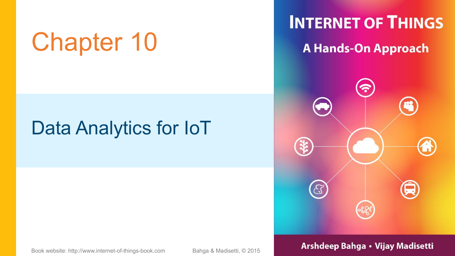# Chapter 10 A Hands-On Approach

### Data Analytics for IoT

**INTERNET OF THINGS** 



### Book website: http://www.internet-of-things-book.com Bahga & Madisetti, © 2015 **Arshdeep Bahga • Vijay Madisetti**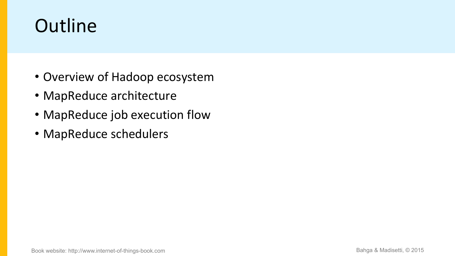## **Outline**

- Overview of Hadoop ecosystem
- MapReduce architecture
- MapReduce job execution flow
- MapReduce schedulers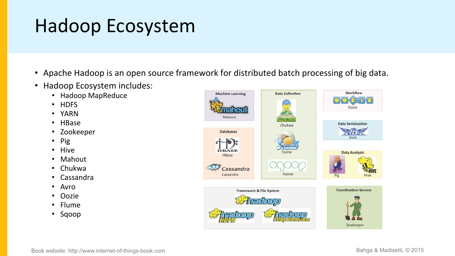### Hadoop Ecosystem

- Apache Hadoop is an open source framework for distributed batch processing of big data.
- Hadoop Ecosystem includes:
	- Hadoop MapReduce
	- HDFS
	- YARN
	- HBase
	- Zookeeper
	- Pig
	- Hive
	- Mahout
	- Chukwa
	- Cassandra
	- Avro
	- Oozie
	- Flume
	- Sqoop

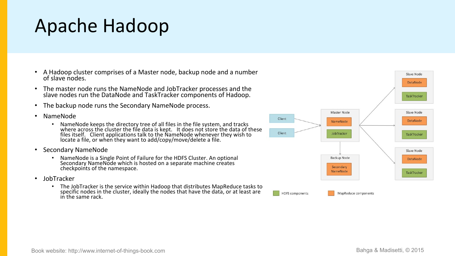### Apache Hadoop

- A Hadoop cluster comprises of a Master node, backup node and a number of slave nodes.
- The master node runs the NameNode and JobTracker processes and the slave nodes run the DataNode and TaskTracker components of Hadoop.
- The backup node runs the Secondary NameNode process.
- NameNode
	- NameNode keeps the directory tree of all files in the file system, and tracks where across the cluster the file data is kept. It does not store the data of these files itself. Client applications talk to the NameNode whenever they wish to state of the Client of Theorem Cli locate a file, or when they want to add/copy/move/delete a file.
- Secondary NameNode
	- NameNode is a Single Point of Failure for the HDFS Cluster. An optional Secondary NameNode which is hosted on a separate machine creates checkpoints of the namespace.
- JobTracker
	- The JobTracker is the service within Hadoop that distributes MapReduce tasks to specific nodes in the cluster, ideally the nodes that have the data, or at least are in the same rack.

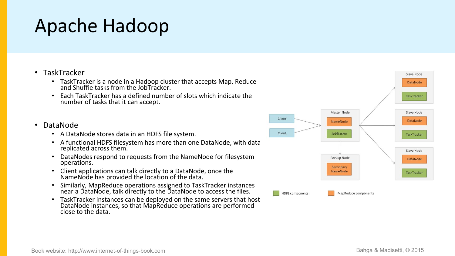### Apache Hadoop

### • TaskTracker

- TaskTracker is a node in a Hadoop cluster that accepts Map, Reduce and Shuffie tasks from the JobTracker.
- Each TaskTracker has a defined number of slots which indicate the number of tasks that it can accept.

### • DataNode

- A DataNode stores data in an HDFS file system.
- A functional HDFS filesystem has more than one DataNode, with data replicated across them.
- DataNodes respond to requests from the NameNode for filesystem operations.
- Client applications can talk directly to a DataNode, once the NameNode has provided the location of the data.  $\sim$
- Similarly, MapReduce operations assigned to TaskTracker instances near a DataNode, talk directly to the DataNode to access the files.
- TaskTracker instances can be deployed on the same servers that host DataNode instances, so that MapReduce operations are performed close to the data.

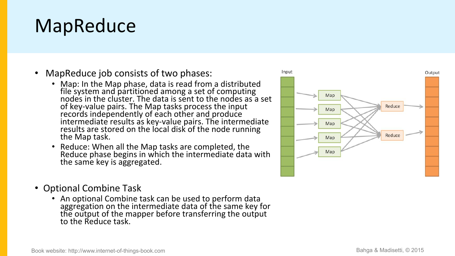### MapReduce

- MapReduce job consists of two phases:
	- Map: In the Map phase, data is read from a distributed **with a set of the Map** file system and partitioned among a set of computing **the system and partitioned among a set of computing** nodes in the cluster. The data is sent to the nodes as a set  $\Box$ of key-value pairs. The Map tasks process the input **the same of the contract of the contract of the contract o** records independently of each other and produce **the contract of the contract of the contract of the contract o** intermediate results as key-value pairs. The intermediate  $\Box \rightarrow \Box$ results are stored on the local disk of the node running the Map task.
	- Reduce: When all the Map tasks are completed, the Reduce phase begins in which the intermediate data with  $\begin{array}{ccc} \hline \end{array}$ the same key is aggregated.
- Optional Combine Task
	- An optional Combine task can be used to perform data aggregation on the intermediate data of the same key for the output of the mapper before transferring the output to the Reduce task.

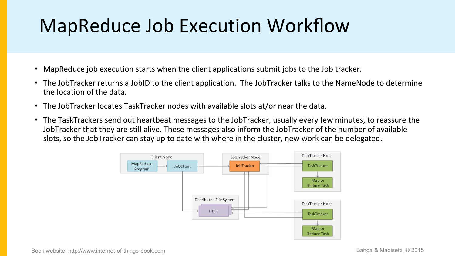## MapReduce Job Execution Workflow

- MapReduce job execution starts when the client applications submit jobs to the Job tracker.
- The JobTracker returns a JobID to the client application. The JobTracker talks to the NameNode to determine the location of the data.
- The JobTracker locates TaskTracker nodes with available slots at/or near the data.
- The TaskTrackers send out heartbeat messages to the JobTracker, usually every few minutes, to reassure the JobTracker that they are still alive. These messages also inform the JobTracker of the number of available slots, so the JobTracker can stay up to date with where in the cluster, new work can be delegated.

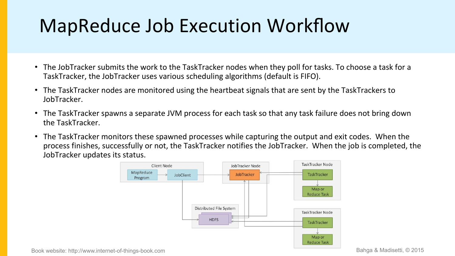## MapReduce Job Execution Workflow

- The JobTracker submits the work to the TaskTracker nodes when they poll for tasks. To choose a task for a TaskTracker, the JobTracker uses various scheduling algorithms (default is FIFO).
- The TaskTracker nodes are monitored using the heartbeat signals that are sent by the TaskTrackers to JobTracker.
- The TaskTracker spawns a separate JVM process for each task so that any task failure does not bring down the TaskTracker.
- The TaskTracker monitors these spawned processes while capturing the output and exit codes. When the process finishes, successfully or not, the TaskTracker notifies the JobTracker. When the job is completed, the JobTracker updates its status.



Book website: http://www.internet-of-things-book.com Bahga & Madisetti, © 2015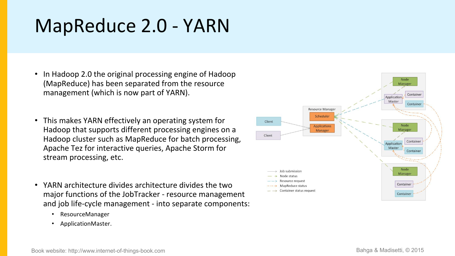## MapReduce 2.0 - YARN

- In Hadoop 2.0 the original processing engine of Hadoop (MapReduce) has been separated from the resource management (which is now part of YARN).
- This makes YARN effectively an operating system for **Client** Hadoop that supports different processing engines on a Hadoop cluster such as MapReduce for batch processing, Apache Tez for interactive queries, Apache Storm for stream processing, etc.
- YARN architecture divides architecture divides the two<br>  $\overline{ }$   $\rightarrow$  Resource request major functions of the JobTracker - resource management and job life-cycle management - into separate components:
	- ResourceManager
	- ApplicationMaster.

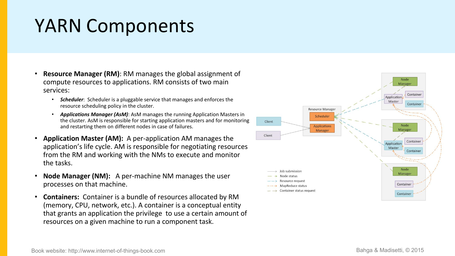### YARN Components

- **Resource Manager (RM)**: RM manages the global assignment of compute resources to applications. RM consists of twomain services:
	- *Scheduler*: Scheduler is a pluggable service that manages and enforces the resource scheduling policy in the cluster.
	- *Applications Manager (AsM)*: AsM manages the running Application Masters in the cluster. AsM is responsible for starting application masters and for monitoring a station and restarting them on different nodes in case of failures.
- **Application Master (AM):** A per-application AM manages the application's life cycle. AM is responsible for negotiating resources from the RM and working with the NMs to execute and monitor the tasks.
- **Node Manager (NM):** A per-machine NM manages the user  $\longrightarrow$  Node status processes on that machine.
- **Containers:** Container is a bundle of resources allocated by RM (memory, CPU, network, etc.). A container is a conceptual entity that grants an application the privilege to use a certain amount of resources on a given machine to run a component task.

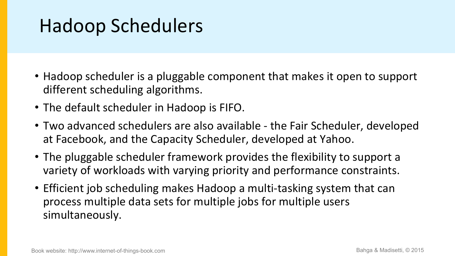### Hadoop Schedulers

- Hadoop scheduler is a pluggable component that makes it open to support different scheduling algorithms.
- The default scheduler in Hadoop is FIFO.
- Two advanced schedulers are also available the Fair Scheduler, developed at Facebook, and the Capacity Scheduler, developed at Yahoo.
- The pluggable scheduler framework provides the flexibility to support a variety of workloads with varying priority and performance constraints.
- Efficient job scheduling makes Hadoop a multi-tasking system that can process multiple data sets for multiple jobs for multiple users simultaneously.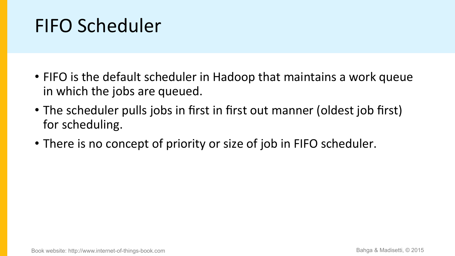## FIFO Scheduler

- FIFO is the default scheduler in Hadoop that maintains a work queue in which the jobs are queued.
- The scheduler pulls jobs in first in first out manner (oldest job first) for scheduling.
- There is no concept of priority or size of job in FIFO scheduler.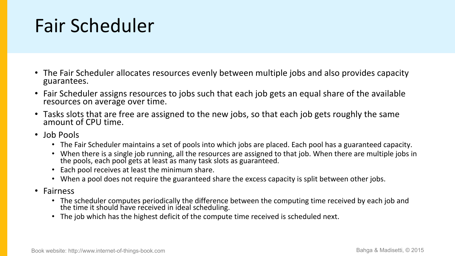### Fair Scheduler

- The Fair Scheduler allocates resources evenly between multiple jobs and also provides capacity guarantees.
- Fair Scheduler assigns resources to jobs such that each job gets an equal share of the available resources on average over time.
- Tasks slots that are free are assigned to the new jobs, so that each job gets roughly the same amount of CPU time.
- Job Pools
	- The Fair Scheduler maintains a set of pools into which jobs are placed. Each pool has a guaranteed capacity.
	- When there is a single job running, all the resources are assigned to that job. When there are multiple jobs in the pools, each pool gets at least as many task slots as guaranteed.  $\overline{\phantom{a}}$
	- Each pool receives at least the minimum share.
	- When a pool does not require the guaranteed share the excess capacity is split between other jobs.
- Fairness
	- The scheduler computes periodically the difference between the computing time received by each job and the time it should have received in ideal scheduling.
	- The job which has the highest deficit of the compute time received is scheduled next.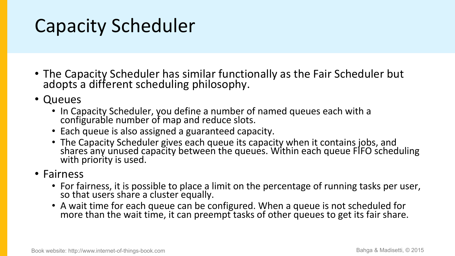### Capacity Scheduler

- The Capacity Scheduler has similar functionally as the Fair Scheduler but adopts a different scheduling philosophy.
- Queues
	- In Capacity Scheduler, you define a number of named queues each with a configurable number of map and reduce slots.
	- Each queue is also assigned a guaranteed capacity.
	- The Capacity Scheduler gives each queue its capacity when it contains jobs, and shares any unused capacity between the queues. Within each queue FIFO scheduling with priority is used.

### • Fairness

- For fairness, it is possible to place a limit on the percentage of running tasks per user, so that users share a cluster equally.
- A wait time for each queue can be configured. When a queue is not scheduled for more than the wait time, it can preempt tasks of other queues to get its fair share.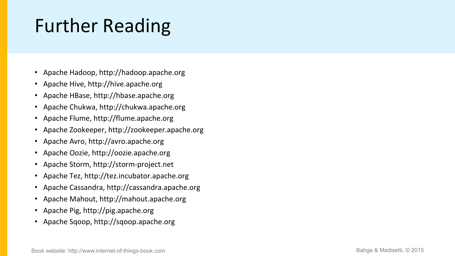## Further Reading

- Apache Hadoop, http://hadoop.apache.org
- Apache Hive, http://hive.apache.org
- Apache HBase, http://hbase.apache.org
- Apache Chukwa, http://chukwa.apache.org
- Apache Flume, http://flume.apache.org
- Apache Zookeeper, http://zookeeper.apache.org
- Apache Avro, http://avro.apache.org
- Apache Oozie, http://oozie.apache.org
- Apache Storm, http://storm-project.net
- Apache Tez, http://tez.incubator.apache.org
- Apache Cassandra, http://cassandra.apache.org
- Apache Mahout, http://mahout.apache.org
- Apache Pig, http://pig.apache.org
- Apache Sqoop, http://sqoop.apache.org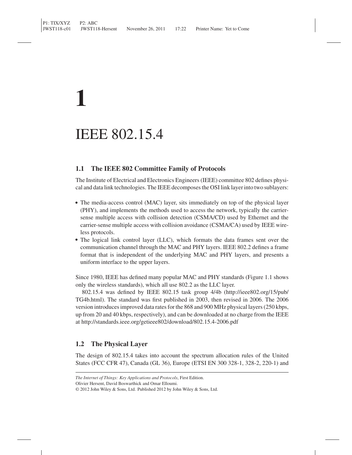## **1**

### IEEE 802.15.4

#### **1.1 The IEEE 802 Committee Family of Protocols**

The Institute of Electrical and Electronics Engineers (IEEE) committee 802 defines physical and data link technologies. The IEEE decomposes the OSI link layer into two sublayers:

- The media-access control (MAC) layer, sits immediately on top of the physical layer (PHY), and implements the methods used to access the network, typically the carriersense multiple access with collision detection (CSMA/CD) used by Ethernet and the carrier-sense multiple access with collision avoidance (CSMA/CA) used by IEEE wireless protocols.
- The logical link control layer (LLC), which formats the data frames sent over the communication channel through the MAC and PHY layers. IEEE 802.2 defines a frame format that is independent of the underlying MAC and PHY layers, and presents a uniform interface to the upper layers.

Since 1980, IEEE has defined many popular MAC and PHY standards (Figure 1.1 shows only the wireless standards), which all use 802.2 as the LLC layer.

802.15.4 was defined by IEEE 802.15 task group 4/4b (http://ieee802.org/15/pub/ TG4b.html). The standard was first published in 2003, then revised in 2006. The 2006 version introduces improved data rates for the 868 and 900 MHz physical layers (250 kbps, up from 20 and 40 kbps, respectively), and can be downloaded at no charge from the IEEE at http://standards.ieee.org/getieee802/download/802.15.4-2006.pdf

#### **1.2 The Physical Layer**

The design of 802.15.4 takes into account the spectrum allocation rules of the United States (FCC CFR 47), Canada (GL 36), Europe (ETSI EN 300 328-1, 328-2, 220-1) and

Olivier Hersent, David Boswarthick and Omar Elloumi.

*The Internet of Things: Key Applications and Protocols*, First Edition.

<sup>© 2012</sup> John Wiley & Sons, Ltd. Published 2012 by John Wiley & Sons, Ltd.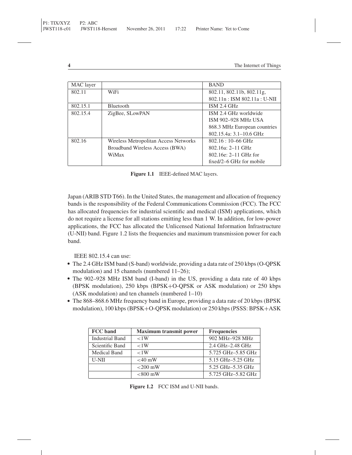| MAC layer |                                       | <b>BAND</b>                  |
|-----------|---------------------------------------|------------------------------|
| 802.11    | WiFi                                  | 802.11, 802.11b, 802.11g,    |
|           |                                       | 802.11n: ISM 802.11a: U-NII  |
| 802.15.1  | <b>Bluetooth</b>                      | ISM 2.4 GHz                  |
| 802.15.4  | ZigBee, SLowPAN                       | ISM 2.4 GHz worldwide        |
|           |                                       | ISM 902-928 MHz USA          |
|           |                                       | 868.3 MHz European countries |
|           |                                       | 802.15.4a: 3.1–10.6 GHz      |
| 802.16    | Wireless Metropolitan Access Networks | $802.16:10-66 \text{ GHz}$   |
|           | Broadband Wireless Access (BWA)       | $802.16a: 2-11 \text{ GHz}$  |
|           | WiMax                                 | $802.16e: 2-11$ GHz for      |
|           |                                       | fixed/2–6 GHz for mobile     |

**Figure 1.1** IEEE-defined MAC layers.

Japan (ARIB STD T66). In the United States, the management and allocation of frequency bands is the responsibility of the Federal Communications Commission (FCC). The FCC has allocated frequencies for industrial scientific and medical (ISM) applications, which do not require a license for all stations emitting less than 1 W. In addition, for low-power applications, the FCC has allocated the Unlicensed National Information Infrastructure (U-NII) band. Figure 1.2 lists the frequencies and maximum transmission power for each band.

IEEE 802.15.4 can use:

- The 2.4 GHz ISM band (S-band) worldwide, providing a data rate of 250 kbps (O-QPSK modulation) and 15 channels (numbered 11–26);
- The 902-928 MHz ISM band (I-band) in the US, providing a data rate of 40 kbps (BPSK modulation), 250 kbps (BPSK+O-QPSK or ASK modulation) or 250 kbps (ASK modulation) and ten channels (numbered 1–10)
- The 868-868.6 MHz frequency band in Europe, providing a data rate of 20 kbps (BPSK modulation), 100 kbps (BPSK+O-QPSK modulation) or 250 kbps (PSSS: BPSK+ASK

| FCC band               | <b>Maximum transmit power</b> | <b>Frequencies</b> |
|------------------------|-------------------------------|--------------------|
| <b>Industrial Band</b> | < 1W                          | 902 MHz-928 MHz    |
| Scientific Band        | <1W                           | 2.4 GHz-2.48 GHz   |
| Medical Band           | < 1W                          | 5.725 GHz-5.85 GHz |
| <b>U-NII</b>           | $<$ 40 mW                     | 5.15 GHz-5.25 GHz  |
|                        | $<$ 200 mW                    | 5.25 GHz-5.35 GHz  |
|                        | $< 800$ mW                    | 5.725 GHz-5.82 GHz |

Figure 1.2 FCC ISM and U-NII bands.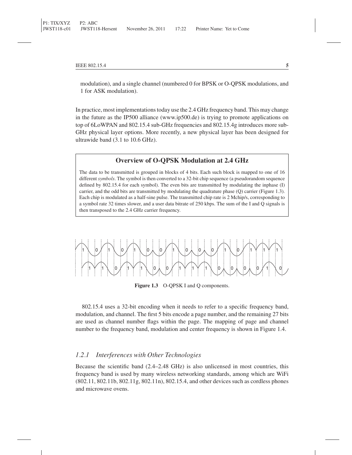modulation), and a single channel (numbered 0 for BPSK or O-QPSK modulations, and 1 for ASK modulation).

In practice, most implementations today use the 2.4 GHz frequency band. This may change in the future as the IP500 alliance (www.ip500.de) is trying to promote applications on top of 6LoWPAN and 802.15.4 sub-GHz frequencies and 802.15.4g introduces more sub-GHz physical layer options. More recently, a new physical layer has been designed for ultrawide band (3.1 to 10.6 GHz).

#### **Overview of O-QPSK Modulation at 2.4 GHz**

The data to be transmitted is grouped in blocks of 4 bits. Each such block is mapped to one of 16 different *symbols*. The symbol is then converted to a 32-bit chip sequence (a pseudorandom sequence defined by 802.15.4 for each symbol). The even bits are transmitted by modulating the inphase (I) carrier, and the odd bits are transmitted by modulating the quadrature phase (Q) carrier (Figure 1.3). Each chip is modulated as a half-sine pulse. The transmitted chip rate is 2 Mchip/s, corresponding to a symbol rate 32 times slower, and a user data bitrate of 250 kbps. The sum of the I and Q signals is then transposed to the 2.4 GHz carrier frequency.



**Figure 1.3** O-QPSK I and Q components.

802.15.4 uses a 32-bit encoding when it needs to refer to a specific frequency band, modulation, and channel. The first 5 bits encode a page number, and the remaining 27 bits are used as channel number flags within the page. The mapping of page and channel number to the frequency band, modulation and center frequency is shown in Figure 1.4.

#### *1.2.1 Interferences with Other Technologies*

Because the scientific band (2.4–2.48 GHz) is also unlicensed in most countries, this frequency band is used by many wireless networking standards, among which are WiFi (802.11, 802.11b, 802.11g, 802.11n), 802.15.4, and other devices such as cordless phones and microwave ovens.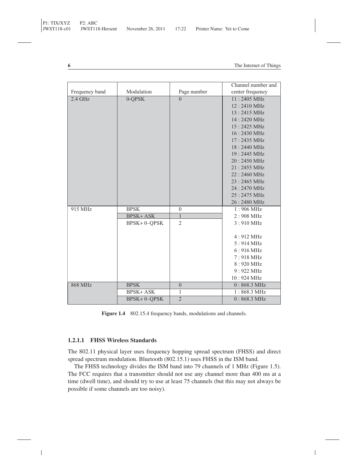|                |                    |                  | Channel number and    |
|----------------|--------------------|------------------|-----------------------|
| Frequency band | Modulation         | Page number      | center frequency      |
| $2.4$ GHz      | 0-QPSK             | $\theta$         | 11:2405 MHz           |
|                |                    |                  | 12:2410 MHz           |
|                |                    |                  | 13:2415 MHz           |
|                |                    |                  | 14:2420 MHz           |
|                |                    |                  | 15:2425 MHz           |
|                |                    |                  | 16:2430 MHz           |
|                |                    |                  | 17:2435 MHz           |
|                |                    |                  | 18:2440 MHz           |
|                |                    |                  | 19:2445 MHz           |
|                |                    |                  | 20:2450 MHz           |
|                |                    |                  | 21:2455 MHz           |
|                |                    |                  | 22:2460 MHz           |
|                |                    |                  | 23:2465 MHz           |
|                |                    |                  | 24:2470 MHz           |
|                |                    |                  | 25:2475 MHz           |
|                |                    |                  | 26:2480 MHz           |
| 915 MHz        | <b>BPSK</b>        | $\boldsymbol{0}$ | $1:906 \text{ MHz}$   |
|                | <b>BPSK+ASK</b>    | $\mathbf{1}$     | $2:908$ MHz           |
|                | <b>BPSK+0-QPSK</b> | $\overline{2}$   | $3:910$ MHz           |
|                |                    |                  |                       |
|                |                    |                  | $4:912 \text{ MHz}$   |
|                |                    |                  | $5:914 \text{ MHz}$   |
|                |                    |                  | $6:916 \text{ MHz}$   |
|                |                    |                  | $7:918$ MHz           |
|                |                    |                  | 8:920 MHz             |
|                |                    |                  | 9:922 MHz             |
|                |                    |                  | 10:924 MHz            |
| <b>868 MHz</b> | <b>BPSK</b>        | $\overline{0}$   | $0:868.3 \text{ MHz}$ |
|                | <b>BPSK+ASK</b>    | 1                | $1:868.3 \text{ MHz}$ |
|                | BPSK+0-QPSK        | $\overline{2}$   | $0:868.3 \text{ MHz}$ |

**Figure 1.4** 802.15.4 frequency bands, modulations and channels.

#### **1.2.1.1 FHSS Wireless Standards**

The 802.11 physical layer uses frequency hopping spread spectrum (FHSS) and direct spread spectrum modulation. Bluetooth (802.15.1) uses FHSS in the ISM band.

The FHSS technology divides the ISM band into 79 channels of 1 MHz (Figure 1.5). The FCC requires that a transmitter should not use any channel more than 400 ms at a time (dwell time), and should try to use at least 75 channels (but this may not always be possible if some channels are too noisy).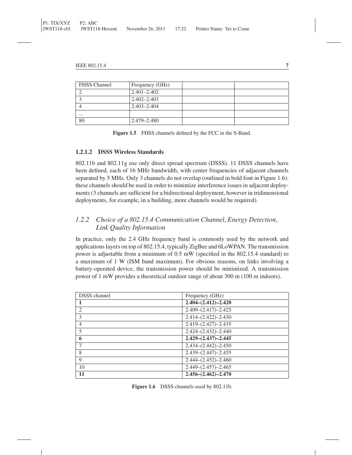| <b>FHSS</b> Channel | Frequency (GHz) |  |
|---------------------|-----------------|--|
|                     | $2.401 - 2.402$ |  |
|                     | $2.402 - 2.403$ |  |
|                     | $2.403 - 2.404$ |  |
| $\cdots$            |                 |  |
| 80                  | $2.479 - 2.480$ |  |

**Figure 1.5** FHSS channels defined by the FCC in the S-Band.

#### **1.2.1.2 DSSS Wireless Standards**

802.11b and 802.11g use only direct spread spectrum (DSSS). 11 DSSS channels have been defined, each of 16 MHz bandwidth, with center frequencies of adjacent channels separated by 5 MHz. Only 3 channels do not overlap (outlined in bold font in Figure 1.6): these channels should be used in order to minimize interference issues in adjacent deployments (3 channels are sufficient for a bidirectional deployment, however in tridimensional deployments, for example, in a building, more channels would be required).

#### *1.2.2 Choice of a 802.15.4 Communication Channel, Energy Detection, Link Quality Information*

In practice, only the 2.4 GHz frequency band is commonly used by the network and applications layers on top of 802.15.4, typically ZigBee and 6LoWPAN. The transmission power is adjustable from a minimum of 0.5 mW (specified in the 802.15.4 standard) to a maximum of 1 W (ISM band maximum). For obvious reasons, on links involving a battery-operated device, the transmission power should be minimized. A transmission power of 1 mW provides a theoretical outdoor range of about 300 m (100 m indoors).

| <b>DSSS</b> channel | Frequency (GHz)           |
|---------------------|---------------------------|
|                     | $2.404-(2.412)-2.420$     |
| $\overline{c}$      | $2.409 - (2.417) - 2.425$ |
| 3                   | $2.414-(2.422)-2.430$     |
| $\overline{4}$      | $2.419-(2.427)-2.435$     |
| 5                   | $2.424-(2.432)-2.440$     |
| 6                   | $2.429-(2.437)-2.445$     |
| 7                   | $2.434-(2.442)-2.450$     |
| 8                   | $2.439-(2.447)-2.455$     |
| 9                   | $2.444-(2.452)-2.460$     |
| 10                  | $2.449-(2.457)-2.465$     |
| 11                  | $2.456-(2.462)-2.470$     |

**Figure 1.6** DSSS channels used by 802.11b.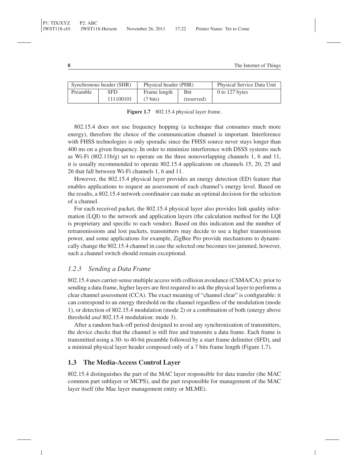| Synchronous header (SHR) |           | Physical header (PHR) |            | Physical Service Data Unit |
|--------------------------|-----------|-----------------------|------------|----------------------------|
| Preamble                 | SFD.      | Frame length          | Ibit       | $0$ to 127 bytes           |
|                          | 111100101 | $(7 \text{ bits})$    | (reserved) |                            |

Figure 1.7 802.15.4 physical layer frame.

802.15.4 does not use frequency hopping (a technique that consumes much more energy), therefore the choice of the communication channel is important. Interference with FHSS technologies is only sporadic since the FHSS source never stays longer than 400 ms on a given frequency. In order to minimize interference with DSSS systems such as Wi-Fi  $(802.11b/g)$  set to operate on the three nonoverlapping channels 1, 6 and 11, it is usually recommended to operate 802.15.4 applications on channels 15, 20, 25 and 26 that fall between Wi-Fi channels 1, 6 and 11.

However, the 802.15.4 physical layer provides an energy detection (ED) feature that enables applications to request an assessment of each channel's energy level. Based on the results, a 802.15.4 network coordinator can make an optimal decision for the selection of a channel.

For each received packet, the 802.15.4 physical layer also provides link quality information (LQI) to the network and application layers (the calculation method for the LQI is proprietary and specific to each vendor). Based on this indication and the number of retransmissions and lost packets, transmitters may decide to use a higher transmission power, and some applications for example, ZigBee Pro provide mechanisms to dynamically change the 802.15.4 channel in case the selected one becomes too jammed, however, such a channel switch should remain exceptional.

#### *1.2.3 Sending a Data Frame*

802.15.4 uses carrier-sense multiple access with collision avoidance (CSMA/CA): prior to sending a data frame, higher layers are first required to ask the physical layer to performs a clear channel assessment (CCA). The exact meaning of "channel clear" is configurable: it can correspond to an energy threshold on the channel regardless of the modulation (mode 1), or detection of 802.15.4 modulation (mode 2) or a combination of both (energy above threshold *and* 802.15.4 modulation: mode 3).

After a random back-off period designed to avoid any synchronization of transmitters, the device checks that the channel is still free and transmits a data frame. Each frame is transmitted using a 30- to 40-bit preamble followed by a start frame delimiter (SFD), and a minimal physical layer header composed only of a 7 bits frame length (Figure 1.7).

#### **1.3 The Media-Access Control Layer**

802.15.4 distinguishes the part of the MAC layer responsible for data transfer (the MAC common part sublayer or MCPS), and the part responsible for management of the MAC layer itself (the Mac layer management entity or MLME).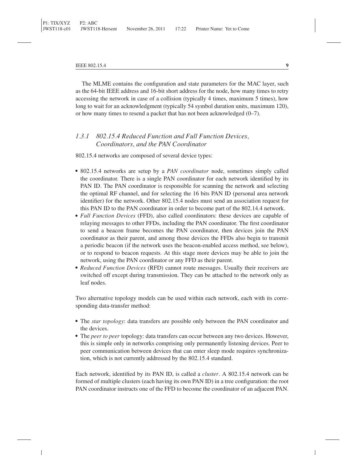The MLME contains the configuration and state parameters for the MAC layer, such as the 64-bit IEEE address and 16-bit short address for the node, how many times to retry accessing the network in case of a collision (typically 4 times, maximum 5 times), how long to wait for an acknowledgment (typically 54 symbol duration units, maximum 120), or how many times to resend a packet that has not been acknowledged (0–7).

#### *1.3.1 802.15.4 Reduced Function and Full Function Devices, Coordinators, and the PAN Coordinator*

802.15.4 networks are composed of several device types:

- 802.15.4 networks are setup by a *PAN coordinator* node, sometimes simply called the coordinator. There is a single PAN coordinator for each network identified by its PAN ID. The PAN coordinator is responsible for scanning the network and selecting the optimal RF channel, and for selecting the 16 bits PAN ID (personal area network identifier) for the network. Other 802.15.4 nodes must send an association request for this PAN ID to the PAN coordinator in order to become part of the 802.14.4 network.
- *Full Function Devices* (FFD), also called coordinators: these devices are capable of relaying messages to other FFDs, including the PAN coordinator. The first coordinator to send a beacon frame becomes the PAN coordinator, then devices join the PAN coordinator as their parent, and among those devices the FFDs also begin to transmit a periodic beacon (if the network uses the beacon-enabled access method, see below), or to respond to beacon requests. At this stage more devices may be able to join the network, using the PAN coordinator or any FFD as their parent.
- *Reduced Function Devices* (RFD) cannot route messages. Usually their receivers are switched off except during transmission. They can be attached to the network only as leaf nodes.

Two alternative topology models can be used within each network, each with its corresponding data-transfer method:

- The *star topology*: data transfers are possible only between the PAN coordinator and the devices.
- The *peer to peer* topology: data transfers can occur between any two devices. However, this is simple only in networks comprising only permanently listening devices. Peer to peer communication between devices that can enter sleep mode requires synchronization, which is not currently addressed by the 802.15.4 standard.

Each network, identified by its PAN ID, is called a *cluster*. A 802.15.4 network can be formed of multiple clusters (each having its own PAN ID) in a tree configuration: the root PAN coordinator instructs one of the FFD to become the coordinator of an adjacent PAN.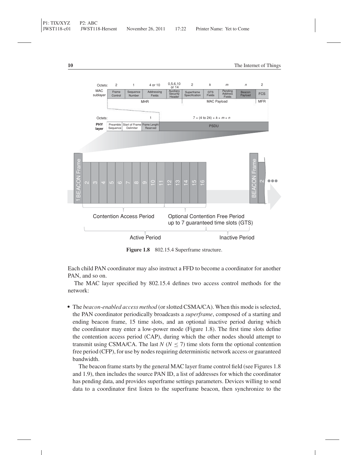

Figure 1.8 802.15.4 Superframe structure.

Each child PAN coordinator may also instruct a FFD to become a coordinator for another PAN, and so on.

The MAC layer specified by 802.15.4 defines two access control methods for the network:

- The *beacon-enabled access method* (or slotted CSMA/CA). When this mode is selected, the PAN coordinator periodically broadcasts a *superframe*, composed of a starting and ending beacon frame, 15 time slots, and an optional inactive period during which the coordinator may enter a low-power mode (Figure 1.8). The first time slots define the contention access period (CAP), during which the other nodes should attempt to transmit using CSMA/CA. The last  $N$  ( $N \le 7$ ) time slots form the optional contention free period (CFP), for use by nodes requiring deterministic network access or guaranteed bandwidth.

The beacon frame starts by the general MAC layer frame control field (see Figures 1.8 and 1.9), then includes the source PAN ID, a list of addresses for which the coordinator has pending data, and provides superframe settings parameters. Devices willing to send data to a coordinator first listen to the superframe beacon, then synchronize to the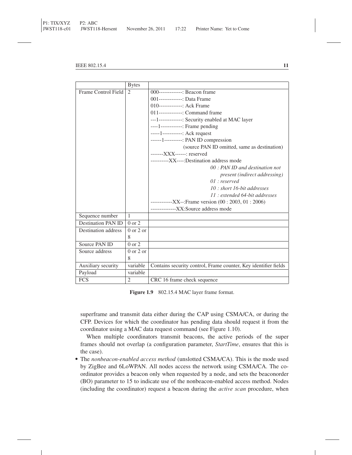|                           | <b>Bytes</b>                  |                                                                 |
|---------------------------|-------------------------------|-----------------------------------------------------------------|
| Frame Control Field       | 2                             | $000$ -------------: Beacon frame                               |
|                           |                               | 001--------------: Data Frame                                   |
|                           |                               | 010--------------: Ack Frame                                    |
|                           |                               | 011--------------: Command frame                                |
|                           |                               | ---1-------------: Security enabled at MAC layer                |
|                           |                               | ----1-------------: Frame pending                               |
|                           |                               | -----1------------: Ack request                                 |
|                           |                               | ------1----------: PAN ID compression                           |
|                           |                               | (source PAN ID omitted, same as destination)                    |
|                           |                               | $---XXX---:$ reserved                                           |
|                           |                               | -----------XX----:Destination address mode                      |
|                           |                               | $00$ : PAN ID and destination not                               |
|                           |                               | present (indirect addressing)                                   |
|                           |                               | $01:$ reserved                                                  |
|                           |                               | 10 : short 16-bit addresses                                     |
|                           |                               | 11 : extended 64-bit addresses                                  |
|                           |                               | --------------XX--:Frame version $(00:2003, 01:2006)$           |
|                           |                               | ---------------XX:Source address mode                           |
| Sequence number           | 1                             |                                                                 |
| <b>Destination PAN ID</b> | $0 \text{ or } 2$             |                                                                 |
| Destination address       | $0$ or $2$ or                 |                                                                 |
|                           | 8                             |                                                                 |
| Source PAN ID             | $0 \text{ or } 2$             |                                                                 |
| Source address            | $0 \text{ or } 2 \text{ or }$ |                                                                 |
|                           | 8                             |                                                                 |
| Auxiliary security        | variable                      | Contains security control, Frame counter, Key identifier fields |
| Payload                   | variable                      |                                                                 |
| <b>FCS</b>                | $\overline{c}$                | CRC 16 frame check sequence                                     |

**Figure 1.9** 802.15.4 MAC layer frame format.

superframe and transmit data either during the CAP using CSMA/CA, or during the CFP. Devices for which the coordinator has pending data should request it from the coordinator using a MAC data request command (see Figure 1.10).

When multiple coordinators transmit beacons, the active periods of the super frames should not overlap (a configuration parameter, *StartTime*, ensures that this is the case).

The *nonbeacon-enabled access method* (unslotted CSMA/CA). This is the mode used by ZigBee and 6LoWPAN. All nodes access the network using CSMA/CA. The coordinator provides a beacon only when requested by a node, and sets the beaconorder (BO) parameter to 15 to indicate use of the nonbeacon-enabled access method. Nodes (including the coordinator) request a beacon during the *active scan* procedure, when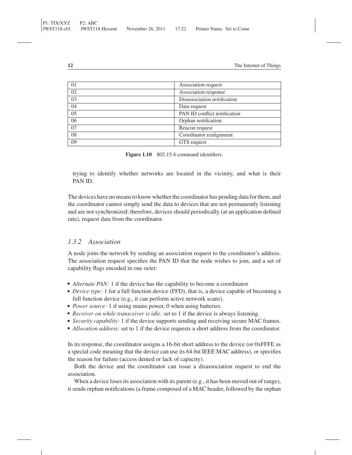| 01 | Association request          |
|----|------------------------------|
| 02 | Association response         |
| 03 | Disassociation notification  |
| 04 | Data request                 |
| 05 | PAN ID conflict notification |
| 06 | Orphan notification          |
| 07 | Beacon request               |
| 08 | Coordinator realignment      |
| 09 | GTS request                  |

Figure 1.10 802.15.4 command identifiers.

trying to identify whether networks are located in the vicinity, and what is their PAN ID.

The devices have no means to know whether the coordinator has pending data for them, and the coordinator cannot simply send the data to devices that are not permanently listening and are not synchronized: therefore, devices should periodically (at an application defined rate), request data from the coordinator.

#### *1.3.2 Association*

A node joins the network by sending an association request to the coordinator's address. The association request specifies the PAN ID that the node wishes to join, and a set of capability flags encoded in one octet:

- Alternate PAN: 1 if the device has the capability to become a coordinator
- *Device type:* 1 for a full function device (FFD), that is, a device capable of becoming a full function device (e.g., it can perform active network scans).
- Power source: 1 if using mains power, 0 when using batteries.
- *Receiver on while transceiver is idle:* set to 1 if the device is always listening.
- *Security capability:* 1 if the device supports sending and receiving secure MAC frames.
- Allocation address: set to 1 if the device requests a short address from the coordinator.

In its response, the coordinator assigns a 16-bit short address to the device (or 0xFFFE as a special code meaning that the device can use its 64-bit IEEE MAC address), or specifies the reason for failure (access denied or lack of capacity).

Both the device and the coordinator can issue a disassociation request to end the association.

When a device loses its association with its parent (e.g., it has been moved out of range), it sends orphan notifications (a frame composed of a MAC header, followed by the orphan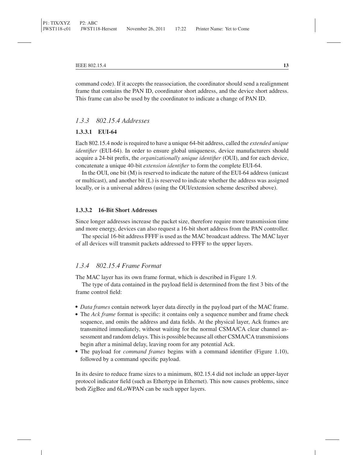command code). If it accepts the reassociation, the coordinator should send a realignment frame that contains the PAN ID, coordinator short address, and the device short address. This frame can also be used by the coordinator to indicate a change of PAN ID.

#### *1.3.3 802.15.4 Addresses*

#### **1.3.3.1 EUI-64**

Each 802.15.4 node is required to have a unique 64-bit address, called the *extended unique identifier* (EUI-64). In order to ensure global uniqueness, device manufacturers should acquire a 24-bit prefix, the *organizationally unique identifier* (OUI), and for each device, concatenate a unique 40-bit *extension identifier* to form the complete EUI-64.

In the OUI, one bit (M) is reserved to indicate the nature of the EUI-64 address (unicast or multicast), and another bit (L) is reserved to indicate whether the address was assigned locally, or is a universal address (using the OUI/extension scheme described above).

#### **1.3.3.2 16-Bit Short Addresses**

Since longer addresses increase the packet size, therefore require more transmission time and more energy, devices can also request a 16-bit short address from the PAN controller.

The special 16-bit address FFFF is used as the MAC broadcast address. The MAC layer of all devices will transmit packets addressed to FFFF to the upper layers.

#### *1.3.4 802.15.4 Frame Format*

The MAC layer has its own frame format, which is described in Figure 1.9.

The type of data contained in the payload field is determined from the first 3 bits of the frame control field:

- *Data frames* contain network layer data directly in the payload part of the MAC frame.
- The *Ack frame* format is specific: it contains only a sequence number and frame check sequence, and omits the address and data fields. At the physical layer, Ack frames are transmitted immediately, without waiting for the normal CSMA/CA clear channel assessment and random delays. This is possible because all other CSMA/CA transmissions begin after a minimal delay, leaving room for any potential Ack.
- The payload for *command frames* begins with a command identifier (Figure 1.10), followed by a command specific payload.

In its desire to reduce frame sizes to a minimum, 802.15.4 did not include an upper-layer protocol indicator field (such as Ethertype in Ethernet). This now causes problems, since both ZigBee and 6LoWPAN can be such upper layers.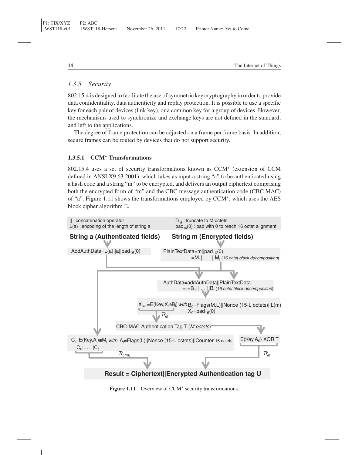#### *1.3.5 Security*

802.15.4 is designed to facilitate the use of symmetric key cryptography in order to provide data confidentiality, data authenticity and replay protection. It is possible to use a specific key for each pair of devices (link key), or a common key for a group of devices. However, the mechanisms used to synchronize and exchange keys are not defined in the standard, and left to the applications.

The degree of frame protection can be adjusted on a frame per frame basis. In addition, secure frames can be routed by devices that do not support security.

#### **1.3.5.1 CCM<sup>∗</sup> Transformations**

802.15.4 uses a set of security transformations known as CCM<sup>∗</sup> (extension of CCM defined in ANSI X9.63.2001), which takes as input a string "a" to be authenticated using a hash code and a string "m" to be encrypted, and delivers an output ciphertext comprising both the encrypted form of "m" and the CBC message authentication code (CBC MAC) of "a". Figure 1.11 shows the transformations employed by CCM∗, which uses the AES block cipher algorithm E.



**Figure 1.11** Overview of CCM<sup>∗</sup> security transformations.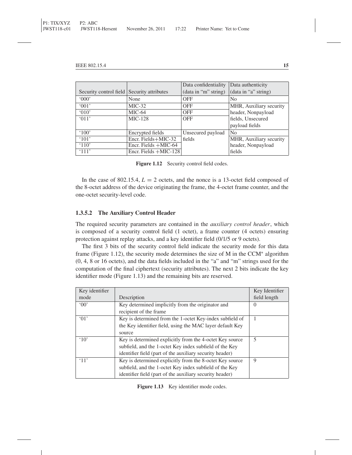|                                            |                          | Data confidentiality | Data authenticity       |
|--------------------------------------------|--------------------------|----------------------|-------------------------|
| Security control field Security attributes |                          | (data in "m" string) | (data in "a" string)    |
| 000                                        | None                     | <b>OFF</b>           | N <sub>0</sub>          |
| (001)                                      | $MIC-32$                 | <b>OFF</b>           | MHR, Auxiliary security |
| (010)                                      | $MIC-64$                 | <b>OFF</b>           | header, Nonpayload      |
| $^{\circ}$ 011'                            | <b>MIC-128</b>           | <b>OFF</b>           | fields, Unsecured       |
|                                            |                          |                      | payload fields          |
| $^{\circ}100'$                             | Encrypted fields         | Unsecured payload    | N <sub>0</sub>          |
| $^{\circ}101'$                             | Encr. Fields+MIC-32      | fields               | MHR, Auxiliary security |
| $^{\circ}110'$                             | Encr. Fields +MIC-64     |                      | header, Nonpayload      |
| $^{\circ}111'$                             | Encr. Fields $+$ MIC-128 |                      | fields                  |

Figure 1.12 Security control field codes.

In the case of 802.15.4,  $L = 2$  octets, and the nonce is a 13-octet field composed of the 8-octet address of the device originating the frame, the 4-octet frame counter, and the one-octet security-level code.

#### **1.3.5.2 The Auxiliary Control Header**

The required security parameters are contained in the *auxiliary control header*, which is composed of a security control field (1 octet), a frame counter (4 octets) ensuring protection against replay attacks, and a key identifier field (0/1/5 or 9 octets).

The first 3 bits of the security control field indicate the security mode for this data frame (Figure 1.12), the security mode determines the size of M in the CCM<sup>∗</sup> algorithm (0, 4, 8 or 16 octets), and the data fields included in the "a" and "m" strings used for the computation of the final ciphertext (security attributes). The next 2 bits indicate the key identifier mode (Figure 1.13) and the remaining bits are reserved.

| Key identifier       |                                                           | Key Identifier |
|----------------------|-----------------------------------------------------------|----------------|
| mode                 | Description                                               | field length   |
| 00                   | Key determined implicitly from the originator and         | $\theta$       |
|                      | recipient of the frame                                    |                |
| $^{\circ}$ 01'       | Key is determined from the 1-octet Key-index subfield of  |                |
|                      | the Key identifier field, using the MAC layer default Key |                |
|                      | source                                                    |                |
| $^{\circ}10^{\circ}$ | Key is determined explicitly from the 4-octet Key source  | 5              |
|                      | subfield, and the 1-octet Key index subfield of the Key   |                |
|                      | identifier field (part of the auxiliary security header)  |                |
| $^{\circ}11'$        | Key is determined explicitly from the 8-octet Key source  | 9              |
|                      | subfield, and the 1-octet Key index subfield of the Key   |                |
|                      | identifier field (part of the auxiliary security header)  |                |

Figure 1.13 Key identifier mode codes.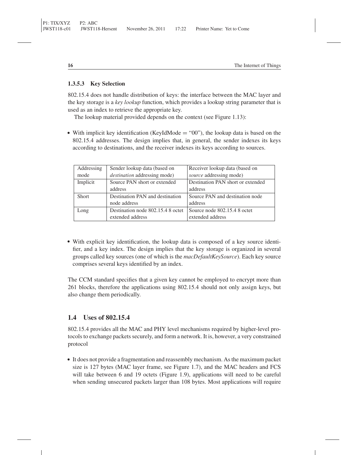#### **1.3.5.3 Key Selection**

802.15.4 does not handle distribution of keys: the interface between the MAC layer and the key storage is a *key lookup* function, which provides a lookup string parameter that is used as an index to retrieve the appropriate key.

The lookup material provided depends on the context (see Figure 1.13):

- With implicit key identification (KeyIdMode = "00"), the lookup data is based on the 802.15.4 addresses. The design implies that, in general, the sender indexes its keys according to destinations, and the receiver indexes its keys according to sources.

| Addressing   | Sender lookup data (based on        | Receiver lookup data (based on    |
|--------------|-------------------------------------|-----------------------------------|
| mode         | <i>destination</i> addressing mode) | source addressing mode)           |
| Implicit     | Source PAN short or extended        | Destination PAN short or extended |
|              | address                             | address                           |
| <b>Short</b> | Destination PAN and destination     | Source PAN and destination node   |
|              | node address                        | address                           |
| Long         | Destination node 802.15.4 8 octet   | Source node 802.15.4 8 octet      |
|              | extended address                    | extended address                  |

- With explicit key identification, the lookup data is composed of a key source identifier, and a key index. The design implies that the key storage is organized in several groups called key sources (one of which is the *macDefaultKeySource*). Each key source comprises several keys identified by an index.

The CCM standard specifies that a given key cannot be employed to encrypt more than 261 blocks, therefore the applications using 802.15.4 should not only assign keys, but also change them periodically.

#### **1.4 Uses of 802.15.4**

802.15.4 provides all the MAC and PHY level mechanisms required by higher-level protocols to exchange packets securely, and form a network. It is, however, a very constrained protocol

- It does not provide a fragmentation and reassembly mechanism. As the maximum packet size is 127 bytes (MAC layer frame, see Figure 1.7), and the MAC headers and FCS will take between 6 and 19 octets (Figure 1.9), applications will need to be careful when sending unsecured packets larger than 108 bytes. Most applications will require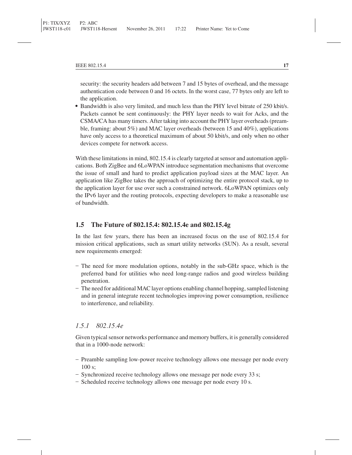security: the security headers add between 7 and 15 bytes of overhead, and the message authentication code between 0 and 16 octets. In the worst case, 77 bytes only are left to the application.

- Bandwidth is also very limited, and much less than the PHY level bitrate of 250 kbit/s. Packets cannot be sent continuously: the PHY layer needs to wait for Acks, and the CSMA/CA has many timers. After taking into account the PHY layer overheads (preamble, framing: about 5%) and MAC layer overheads (between 15 and 40%), applications have only access to a theoretical maximum of about 50 kbit/s, and only when no other devices compete for network access.

With these limitations in mind, 802.15.4 is clearly targeted at sensor and automation applications. Both ZigBee and 6LoWPAN introduce segmentation mechanisms that overcome the issue of small and hard to predict application payload sizes at the MAC layer. An application like ZigBee takes the approach of optimizing the entire protocol stack, up to the application layer for use over such a constrained network. 6LoWPAN optimizes only the IPv6 layer and the routing protocols, expecting developers to make a reasonable use of bandwidth.

#### **1.5 The Future of 802.15.4: 802.15.4e and 802.15.4g**

In the last few years, there has been an increased focus on the use of 802.15.4 for mission critical applications, such as smart utility networks (SUN). As a result, several new requirements emerged:

- The need for more modulation options, notably in the sub-GHz space, which is the preferred band for utilities who need long-range radios and good wireless building penetration.
- The need for additional MAC layer options enabling channel hopping, sampled listening and in general integrate recent technologies improving power consumption, resilience to interference, and reliability.

#### *1.5.1 802.15.4e*

Given typical sensor networks performance and memory buffers, it is generally considered that in a 1000-node network:

- Preamble sampling low-power receive technology allows one message per node every 100 s;
- Synchronized receive technology allows one message per node every 33 s;
- Scheduled receive technology allows one message per node every 10 s.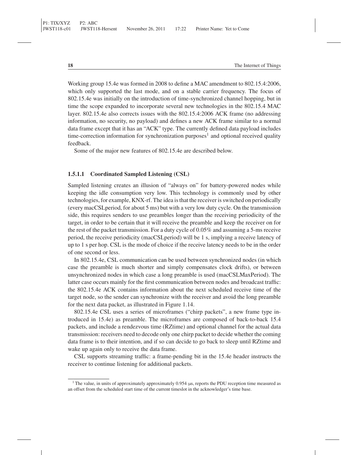Working group 15.4e was formed in 2008 to define a MAC amendment to 802.15.4:2006, which only supported the last mode, and on a stable carrier frequency. The focus of 802.15.4e was initially on the introduction of time-synchronized channel hopping, but in time the scope expanded to incorporate several new technologies in the 802.15.4 MAC layer. 802.15.4e also corrects issues with the 802.15.4:2006 ACK frame (no addressing information, no security, no payload) and defines a new ACK frame similar to a normal data frame except that it has an "ACK" type. The currently defined data payload includes time-correction information for synchronization purposes<sup>1</sup> and optional received quality feedback.

Some of the major new features of 802.15.4e are described below.

#### **1.5.1.1 Coordinated Sampled Listening (CSL)**

Sampled listening creates an illusion of "always on" for battery-powered nodes while keeping the idle consumption very low. This technology is commonly used by other technologies, for example, KNX-rf. The idea is that the receiver is switched on periodically (every macCSLperiod, for about 5 ms) but with a very low duty cycle. On the transmission side, this requires senders to use preambles longer than the receiving periodicity of the target, in order to be certain that it will receive the preamble and keep the receiver on for the rest of the packet transmission. For a duty cycle of 0.05% and assuming a 5-ms receive period, the receive periodicity (macCSLperiod) will be 1 s, implying a receive latency of up to 1 s per hop. CSL is the mode of choice if the receive latency needs to be in the order of one second or less.

In 802.15.4e, CSL communication can be used between synchronized nodes (in which case the preamble is much shorter and simply compensates clock drifts), or between unsynchronized nodes in which case a long preamble is used (macCSLMaxPeriod). The latter case occurs mainly for the first communication between nodes and broadcast traffic: the 802.15.4e ACK contains information about the next scheduled receive time of the target node, so the sender can synchronize with the receiver and avoid the long preamble for the next data packet, as illustrated in Figure 1.14.

802.15.4e CSL uses a series of microframes ("chirp packets", a new frame type introduced in 15.4e) as preamble. The microframes are composed of back-to-back 15.4 packets, and include a rendezvous time (RZtime) and optional channel for the actual data transmission: receivers need to decode only one chirp packet to decide whether the coming data frame is to their intention, and if so can decide to go back to sleep until RZtime and wake up again only to receive the data frame.

CSL supports streaming traffic: a frame-pending bit in the 15.4e header instructs the receiver to continue listening for additional packets.

<sup>&</sup>lt;sup>1</sup> The value, in units of approximately approximately 0.954  $\mu$ s, reports the PDU reception time measured as an offset from the scheduled start time of the current timeslot in the acknowledger's time base.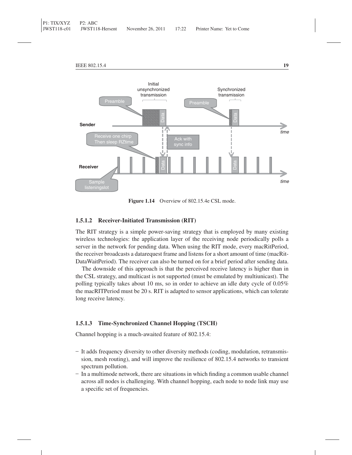

**Figure 1.14** Overview of 802.15.4e CSL mode.

#### **1.5.1.2 Receiver-Initiated Transmission (RIT)**

The RIT strategy is a simple power-saving strategy that is employed by many existing wireless technologies: the application layer of the receiving node periodically polls a server in the network for pending data. When using the RIT mode, every macRitPeriod, the receiver broadcasts a datarequest frame and listens for a short amount of time (macRit-DataWaitPeriod). The receiver can also be turned on for a brief period after sending data.

The downside of this approach is that the perceived receive latency is higher than in the CSL strategy, and multicast is not supported (must be emulated by multiunicast). The polling typically takes about 10 ms, so in order to achieve an idle duty cycle of 0.05% the macRITPeriod must be 20 s. RIT is adapted to sensor applications, which can tolerate long receive latency.

#### **1.5.1.3 Time-Synchronized Channel Hopping (TSCH)**

Channel hopping is a much-awaited feature of 802.15.4:

- It adds frequency diversity to other diversity methods (coding, modulation, retransmission, mesh routing), and will improve the resilience of 802.15.4 networks to transient spectrum pollution.
- In a multimode network, there are situations in which finding a common usable channel across all nodes is challenging. With channel hopping, each node to node link may use a specific set of frequencies.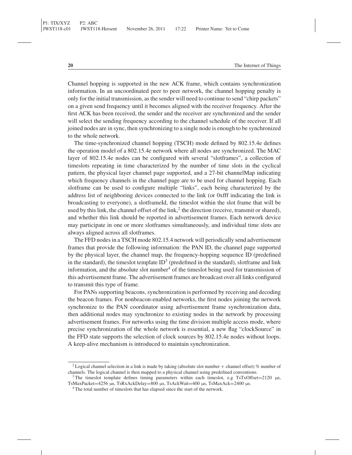Channel hopping is supported in the new ACK frame, which contains synchronization information. In an uncoordinated peer to peer network, the channel hopping penalty is only for the initial transmission, as the sender will need to continue to send "chirp packets" on a given send frequency until it becomes aligned with the receiver frequency. After the first ACK has been received, the sender and the receiver are synchronized and the sender will select the sending frequency according to the channel schedule of the receiver. If all joined nodes are in sync, then synchronizing to a single node is enough to be synchronized to the whole network.

The time-synchronized channel hopping (TSCH) mode defined by 802.15.4e defines the operation model of a 802.15.4e network where all nodes are synchronized. The MAC layer of 802.15.4e nodes can be configured with several "slotframes", a collection of timeslots repeating in time characterized by the number of time slots in the cyclical pattern, the physical layer channel page supported, and a 27-bit channelMap indicating which frequency channels in the channel page are to be used for channel hopping. Each slotframe can be used to configure multiple "links", each being characterized by the address list of neighboring devices connected to the link (or 0xfff indicating the link is broadcasting to everyone), a slotframeId, the timeslot within the slot frame that will be used by this link, the channel offset of the link,<sup>2</sup> the direction (receive, transmit or shared), and whether this link should be reported in advertisement frames. Each network device may participate in one or more slotframes simultaneously, and individual time slots are always aligned across all slotframes.

The FFD nodes in a TSCH mode 802.15.4 network will periodically send advertisement frames that provide the following information: the PAN ID, the channel page supported by the physical layer, the channel map, the frequency-hopping sequence ID (predefined in the standard), the timeslot template  $ID<sup>3</sup>$  (predefined in the standard), slotframe and link information, and the absolute slot number<sup>4</sup> of the timeslot being used for transmission of this advertisement frame. The advertisement frames are broadcast over all links configured to transmit this type of frame.

For PANs supporting beacons, synchronization is performed by receiving and decoding the beacon frames. For nonbeacon-enabled networks, the first nodes joining the network synchronize to the PAN coordinator using advertisement frame synchronization data, then additional nodes may synchronize to existing nodes in the network by processing advertisement frames. For networks using the time division multiple access mode, where precise synchronization of the whole network is essential, a new flag "clockSource" in the FFD state supports the selection of clock sources by 802.15.4e nodes without loops. A keep-alive mechanism is introduced to maintain synchronization.

<sup>&</sup>lt;sup>2</sup> Logical channel selection in a link is made by taking (absolute slot number + channel offset) % number of channels. The logical channel is then mapped to a physical channel using predefined conventions.

<sup>&</sup>lt;sup>3</sup> The timeslot template defines timing parameters within each timeslot, e.g TsTxOffset=2120 μs, TsMaxPacket=4256 μs, TsRxAckDelay=800 μs, TsAckWait=400 μs, TsMaxAck=2400 μs.

<sup>&</sup>lt;sup>4</sup> The total number of timeslots that has elapsed since the start of the network.